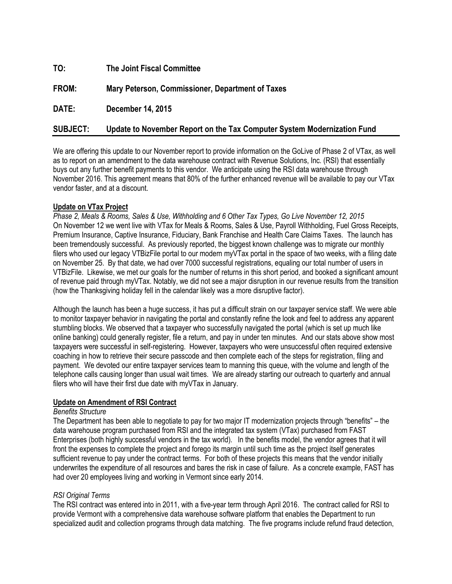| TO:             | <b>The Joint Fiscal Committee</b>                                       |
|-----------------|-------------------------------------------------------------------------|
| FROM:           | Mary Peterson, Commissioner, Department of Taxes                        |
| DATE:           | <b>December 14, 2015</b>                                                |
| <b>SUBJECT:</b> | Update to November Report on the Tax Computer System Modernization Fund |

We are offering this update to our November report to provide information on the GoLive of Phase 2 of VTax, as well as to report on an amendment to the data warehouse contract with Revenue Solutions, Inc. (RSI) that essentially buys out any further benefit payments to this vendor. We anticipate using the RSI data warehouse through November 2016. This agreement means that 80% of the further enhanced revenue will be available to pay our VTax vendor faster, and at a discount.

# **Update on VTax Project**

*Phase 2, Meals & Rooms, Sales & Use, Withholding and 6 Other Tax Types, Go Live November 12, 2015* On November 12 we went live with VTax for Meals & Rooms, Sales & Use, Payroll Withholding, Fuel Gross Receipts, Premium Insurance, Captive Insurance, Fiduciary, Bank Franchise and Health Care Claims Taxes. The launch has been tremendously successful. As previously reported, the biggest known challenge was to migrate our monthly filers who used our legacy VTBizFile portal to our modern myVTax portal in the space of two weeks, with a filing date on November 25. By that date, we had over 7000 successful registrations, equaling our total number of users in VTBizFile. Likewise, we met our goals for the number of returns in this short period, and booked a significant amount of revenue paid through myVTax. Notably, we did not see a major disruption in our revenue results from the transition (how the Thanksgiving holiday fell in the calendar likely was a more disruptive factor).

Although the launch has been a huge success, it has put a difficult strain on our taxpayer service staff. We were able to monitor taxpayer behavior in navigating the portal and constantly refine the look and feel to address any apparent stumbling blocks. We observed that a taxpayer who successfully navigated the portal (which is set up much like online banking) could generally register, file a return, and pay in under ten minutes. And our stats above show most taxpayers were successful in self-registering. However, taxpayers who were unsuccessful often required extensive coaching in how to retrieve their secure passcode and then complete each of the steps for registration, filing and payment. We devoted our entire taxpayer services team to manning this queue, with the volume and length of the telephone calls causing longer than usual wait times. We are already starting our outreach to quarterly and annual filers who will have their first due date with myVTax in January.

## **Update on Amendment of RSI Contract**

## *Benefits Structure*

The Department has been able to negotiate to pay for two major IT modernization projects through "benefits" – the data warehouse program purchased from RSI and the integrated tax system (VTax) purchased from FAST Enterprises (both highly successful vendors in the tax world). In the benefits model, the vendor agrees that it will front the expenses to complete the project and forego its margin until such time as the project itself generates sufficient revenue to pay under the contract terms. For both of these projects this means that the vendor initially underwrites the expenditure of all resources and bares the risk in case of failure. As a concrete example, FAST has had over 20 employees living and working in Vermont since early 2014.

# *RSI Original Terms*

The RSI contract was entered into in 2011, with a five-year term through April 2016. The contract called for RSI to provide Vermont with a comprehensive data warehouse software platform that enables the Department to run specialized audit and collection programs through data matching. The five programs include refund fraud detection,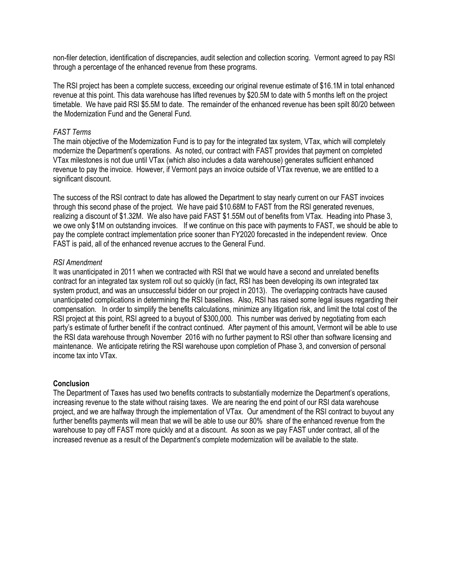non-filer detection, identification of discrepancies, audit selection and collection scoring. Vermont agreed to pay RSI through a percentage of the enhanced revenue from these programs.

The RSI project has been a complete success, exceeding our original revenue estimate of \$16.1M in total enhanced revenue at this point. This data warehouse has lifted revenues by \$20.5M to date with 5 months left on the project timetable. We have paid RSI \$5.5M to date. The remainder of the enhanced revenue has been spilt 80/20 between the Modernization Fund and the General Fund.

#### *FAST Terms*

The main objective of the Modernization Fund is to pay for the integrated tax system, VTax, which will completely modernize the Department's operations. As noted, our contract with FAST provides that payment on completed VTax milestones is not due until VTax (which also includes a data warehouse) generates sufficient enhanced revenue to pay the invoice. However, if Vermont pays an invoice outside of VTax revenue, we are entitled to a significant discount.

The success of the RSI contract to date has allowed the Department to stay nearly current on our FAST invoices through this second phase of the project. We have paid \$10.68M to FAST from the RSI generated revenues, realizing a discount of \$1.32M. We also have paid FAST \$1.55M out of benefits from VTax. Heading into Phase 3, we owe only \$1M on outstanding invoices. If we continue on this pace with payments to FAST, we should be able to pay the complete contract implementation price sooner than FY2020 forecasted in the independent review. Once FAST is paid, all of the enhanced revenue accrues to the General Fund.

#### *RSI Amendment*

It was unanticipated in 2011 when we contracted with RSI that we would have a second and unrelated benefits contract for an integrated tax system roll out so quickly (in fact, RSI has been developing its own integrated tax system product, and was an unsuccessful bidder on our project in 2013). The overlapping contracts have caused unanticipated complications in determining the RSI baselines. Also, RSI has raised some legal issues regarding their compensation. In order to simplify the benefits calculations, minimize any litigation risk, and limit the total cost of the RSI project at this point, RSI agreed to a buyout of \$300,000. This number was derived by negotiating from each party's estimate of further benefit if the contract continued. After payment of this amount, Vermont will be able to use the RSI data warehouse through November 2016 with no further payment to RSI other than software licensing and maintenance. We anticipate retiring the RSI warehouse upon completion of Phase 3, and conversion of personal income tax into VTax.

#### **Conclusion**

The Department of Taxes has used two benefits contracts to substantially modernize the Department's operations, increasing revenue to the state without raising taxes. We are nearing the end point of our RSI data warehouse project, and we are halfway through the implementation of VTax. Our amendment of the RSI contract to buyout any further benefits payments will mean that we will be able to use our 80% share of the enhanced revenue from the warehouse to pay off FAST more quickly and at a discount. As soon as we pay FAST under contract, all of the increased revenue as a result of the Department's complete modernization will be available to the state.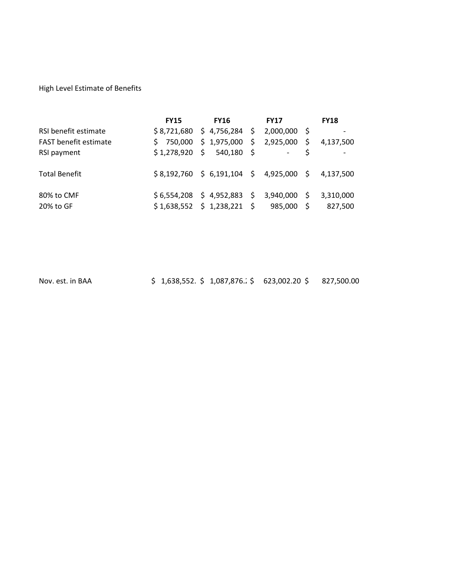High Level Estimate of Benefits

|                              | <b>FY15</b> | <b>FY16</b>                                                   | <b>FY17</b>          |          | <b>FY18</b>          |
|------------------------------|-------------|---------------------------------------------------------------|----------------------|----------|----------------------|
| RSI benefit estimate         |             | $$8,721,680 \ $4,756,284 \ $$                                 | 2,000,000            |          |                      |
| <b>FAST</b> benefit estimate |             | $$750,000$$ \$1,975,000 \$                                    | 2,925,000            | - \$     | 4,137,500            |
| RSI payment                  |             | $$1,278,920 \quad $540,180 \quad $$                           |                      |          |                      |
| <b>Total Benefit</b>         |             | $$8,192,760 \$6,191,104 \$4,925,000 \$$                       |                      |          | 4,137,500            |
| 80% to CMF<br>20% to GF      |             | $$6,554,208$ \$ 4,952,883 \$<br>$$1,638,552 \ $1,238,221 \ $$ | 3,940,000<br>985,000 | - S<br>Ś | 3,310,000<br>827,500 |

Nov. est. in BAA <br>\$ 1,638,552. \$ 1,087,876. <br>\$ 623,002.20 \$ 827,500.00